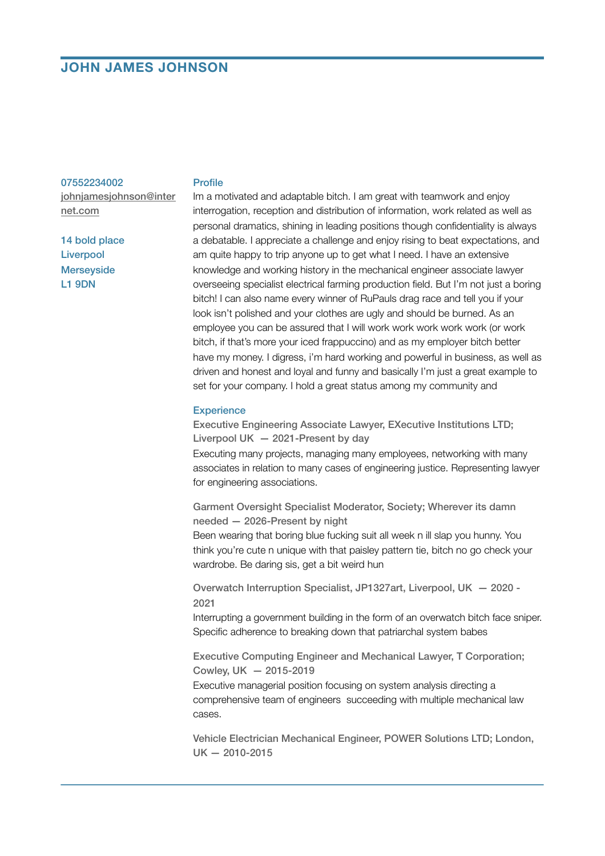# **JOHN JAMES JOHNSON**

#### 07552234002

[johnjamesjohnson@inter](mailto:johnjamesjohnson@internet.com) [net.com](mailto:johnjamesjohnson@internet.com)

14 bold place Liverpool **Merseyside** L1 9DN

### Profile

Im a motivated and adaptable bitch. I am great with teamwork and enjoy interrogation, reception and distribution of information, work related as well as personal dramatics, shining in leading positions though confidentiality is always a debatable. I appreciate a challenge and enjoy rising to beat expectations, and am quite happy to trip anyone up to get what I need. I have an extensive knowledge and working history in the mechanical engineer associate lawyer overseeing specialist electrical farming production field. But I'm not just a boring bitch! I can also name every winner of RuPauls drag race and tell you if your look isn't polished and your clothes are ugly and should be burned. As an employee you can be assured that I will work work work work work (or work bitch, if that's more your iced frappuccino) and as my employer bitch better have my money. I digress, i'm hard working and powerful in business, as well as driven and honest and loyal and funny and basically I'm just a great example to set for your company. I hold a great status among my community and

### **Experience**

Executive Engineering Associate Lawyer, EXecutive Institutions LTD; Liverpool UK  $-2021$ -Present by day

Executing many projects, managing many employees, networking with many associates in relation to many cases of engineering justice. Representing lawyer for engineering associations.

Garment Oversight Specialist Moderator, Society; Wherever its damn needed — 2026-Present by night

Been wearing that boring blue fucking suit all week n ill slap you hunny. You think you're cute n unique with that paisley pattern tie, bitch no go check your wardrobe. Be daring sis, get a bit weird hun

Overwatch Interruption Specialist, JP1327art, Liverpool, UK — 2020 - 2021

Interrupting a government building in the form of an overwatch bitch face sniper. Specific adherence to breaking down that patriarchal system babes

Executive Computing Engineer and Mechanical Lawyer, T Corporation; Cowley, UK — 2015-2019

Executive managerial position focusing on system analysis directing a comprehensive team of engineers succeeding with multiple mechanical law cases.

Vehicle Electrician Mechanical Engineer, POWER Solutions LTD; London, UK — 2010-2015